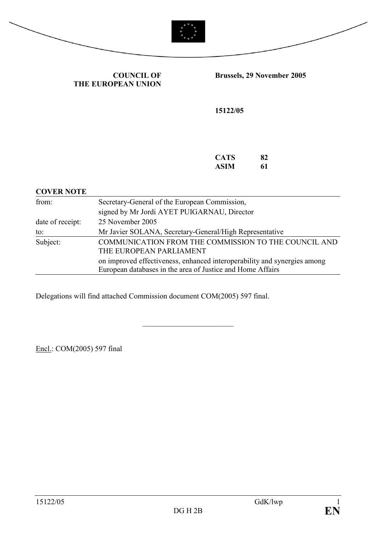



COUNCIL OF THE EUROPEAN UNION Brussels, 29 November 2005

15122/05

| <b>CATS</b> | 82 |
|-------------|----|
| ASIM        | 61 |

#### COVER NOTE

| from:            | Secretary-General of the European Commission,                                                                                          |  |
|------------------|----------------------------------------------------------------------------------------------------------------------------------------|--|
|                  | signed by Mr Jordi AYET PUIGARNAU, Director                                                                                            |  |
| date of receipt: | 25 November 2005                                                                                                                       |  |
| to:              | Mr Javier SOLANA, Secretary-General/High Representative                                                                                |  |
| Subject:         | COMMUNICATION FROM THE COMMISSION TO THE COUNCIL AND<br>THE EUROPEAN PARLIAMENT                                                        |  |
|                  | on improved effectiveness, enhanced interoperability and synergies among<br>European databases in the area of Justice and Home Affairs |  |

\_\_\_\_\_\_\_\_\_\_\_\_\_\_\_\_\_\_\_\_\_\_\_\_

Delegations will find attached Commission document COM(2005) 597 final.

Encl.: COM(2005) 597 final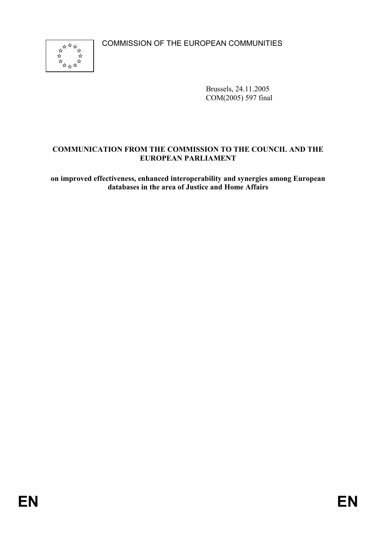COMMISSION OF THE EUROPEAN COMMUNITIES



Brussels, 24.11.2005 COM(2005) 597 final

# COMMUNICATION FROM THE COMMISSION TO THE COUNCIL AND THE EUROPEAN PARLIAMENT

on improved effectiveness, enhanced interoperability and synergies among European databases in the area of Justice and Home Affairs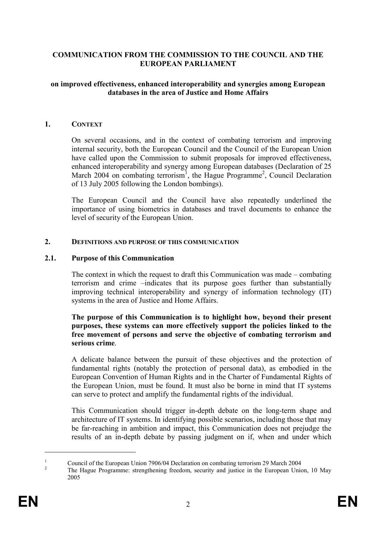## COMMUNICATION FROM THE COMMISSION TO THE COUNCIL AND THE EUROPEAN PARLIAMENT

#### on improved effectiveness, enhanced interoperability and synergies among European databases in the area of Justice and Home Affairs

#### 1. CONTEXT

On several occasions, and in the context of combating terrorism and improving internal security, both the European Council and the Council of the European Union have called upon the Commission to submit proposals for improved effectiveness, enhanced interoperability and synergy among European databases (Declaration of 25 March 2004 on combating terrorism<sup>1</sup>, the Hague Programme<sup>2</sup>, Council Declaration of 13 July 2005 following the London bombings).

The European Council and the Council have also repeatedly underlined the importance of using biometrics in databases and travel documents to enhance the level of security of the European Union.

#### 2. DEFINITIONS AND PURPOSE OF THIS COMMUNICATION

#### 2.1. Purpose of this Communication

The context in which the request to draft this Communication was made – combating terrorism and crime –indicates that its purpose goes further than substantially improving technical interoperability and synergy of information technology (IT) systems in the area of Justice and Home Affairs.

#### The purpose of this Communication is to highlight how, beyond their present purposes, these systems can more effectively support the policies linked to the free movement of persons and serve the objective of combating terrorism and serious crime.

A delicate balance between the pursuit of these objectives and the protection of fundamental rights (notably the protection of personal data), as embodied in the European Convention of Human Rights and in the Charter of Fundamental Rights of the European Union, must be found. It must also be borne in mind that IT systems can serve to protect and amplify the fundamental rights of the individual.

This Communication should trigger in-depth debate on the long-term shape and architecture of IT systems. In identifying possible scenarios, including those that may be far-reaching in ambition and impact, this Communication does not prejudge the results of an in-depth debate by passing judgment on if, when and under which

<sup>1</sup> Council of the European Union 7906/04 Declaration on combating terrorism 29 March 2004 2

The Hague Programme: strengthening freedom, security and justice in the European Union, 10 May 2005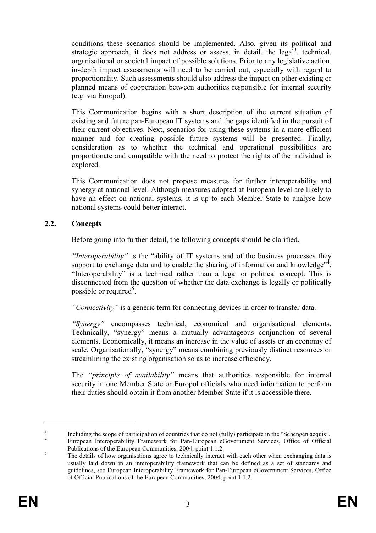conditions these scenarios should be implemented. Also, given its political and strategic approach, it does not address or assess, in detail, the legal<sup>3</sup>, technical, organisational or societal impact of possible solutions. Prior to any legislative action, in-depth impact assessments will need to be carried out, especially with regard to proportionality. Such assessments should also address the impact on other existing or planned means of cooperation between authorities responsible for internal security (e.g. via Europol).

This Communication begins with a short description of the current situation of existing and future pan-European IT systems and the gaps identified in the pursuit of their current objectives. Next, scenarios for using these systems in a more efficient manner and for creating possible future systems will be presented. Finally, consideration as to whether the technical and operational possibilities are proportionate and compatible with the need to protect the rights of the individual is explored.

This Communication does not propose measures for further interoperability and synergy at national level. Although measures adopted at European level are likely to have an effect on national systems, it is up to each Member State to analyse how national systems could better interact.

# 2.2. Concepts

Before going into further detail, the following concepts should be clarified.

"Interoperability" is the "ability of IT systems and of the business processes they support to exchange data and to enable the sharing of information and knowledge" $\frac{3}{4}$ . "Interoperability" is a technical rather than a legal or political concept. This is disconnected from the question of whether the data exchange is legally or politically possible or required<sup>5</sup>.

"Connectivity" is a generic term for connecting devices in order to transfer data.

"Synergy" encompasses technical, economical and organisational elements. Technically, "synergy" means a mutually advantageous conjunction of several elements. Economically, it means an increase in the value of assets or an economy of scale. Organisationally, "synergy" means combining previously distinct resources or streamlining the existing organisation so as to increase efficiency.

The "principle of availability" means that authorities responsible for internal security in one Member State or Europol officials who need information to perform their duties should obtain it from another Member State if it is accessible there.

<sup>3</sup> Including the scope of participation of countries that do not (fully) participate in the "Schengen acquis". 4 European Interoperability Framework for Pan-European eGovernment Services, Office of Official Publications of the European Communities, 2004, point 1.1.2.

<sup>5</sup> The details of how organisations agree to technically interact with each other when exchanging data is usually laid down in an interoperability framework that can be defined as a set of standards and guidelines, see European Interoperability Framework for Pan-European eGovernment Services, Office of Official Publications of the European Communities, 2004, point 1.1.2.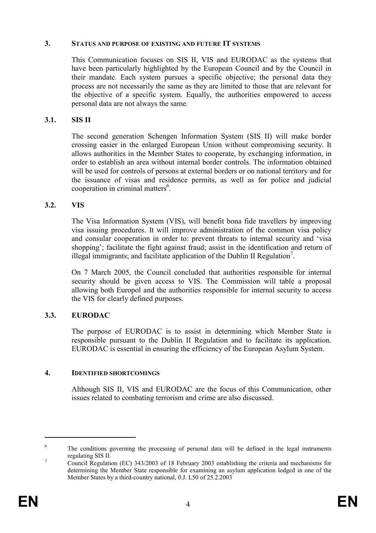#### 3. STATUS AND PURPOSE OF EXISTING AND FUTURE IT SYSTEMS

This Communication focuses on SIS II, VIS and EURODAC as the systems that have been particularly highlighted by the European Council and by the Council in their mandate. Each system pursues a specific objective; the personal data they process are not necessarily the same as they are limited to those that are relevant for the objective of a specific system. Equally, the authorities empowered to access personal data are not always the same.

## 3.1. SIS II

The second generation Schengen Information System (SIS II) will make border crossing easier in the enlarged European Union without compromising security. It allows authorities in the Member States to cooperate, by exchanging information, in order to establish an area without internal border controls. The information obtained will be used for controls of persons at external borders or on national territory and for the issuance of visas and residence permits, as well as for police and judicial cooperation in criminal matters<sup>6</sup>.

## 3.2. VIS

The Visa Information System (VIS), will benefit bona fide travellers by improving visa issuing procedures. It will improve administration of the common visa policy and consular cooperation in order to: prevent threats to internal security and 'visa shopping'; facilitate the fight against fraud; assist in the identification and return of illegal immigrants; and facilitate application of the Dublin II Regulation<sup>7</sup>.

On 7 March 2005, the Council concluded that authorities responsible for internal security should be given access to VIS. The Commission will table a proposal allowing both Europol and the authorities responsible for internal security to access the VIS for clearly defined purposes.

# 3.3. EURODAC

The purpose of EURODAC is to assist in determining which Member State is responsible pursuant to the Dublin II Regulation and to facilitate its application. EURODAC is essential in ensuring the efficiency of the European Asylum System.

### 4. IDENTIFIED SHORTCOMINGS

Although SIS II, VIS and EURODAC are the focus of this Communication, other issues related to combating terrorism and crime are also discussed.

<sup>6</sup> The conditions governing the processing of personal data will be defined in the legal instruments regulating SIS II.

<sup>7</sup> Council Regulation (EC) 343/2003 of 18 February 2003 establishing the criteria and mechanisms for determining the Member State responsible for examining an asylum application lodged in one of the Member States by a third-country national, 0.J. L50 of 25.2.2003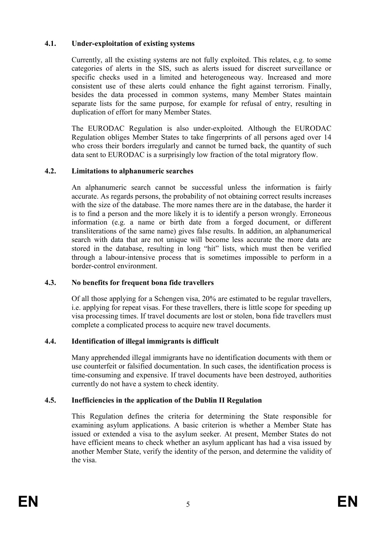# 4.1. Under-exploitation of existing systems

Currently, all the existing systems are not fully exploited. This relates, e.g. to some categories of alerts in the SIS, such as alerts issued for discreet surveillance or specific checks used in a limited and heterogeneous way. Increased and more consistent use of these alerts could enhance the fight against terrorism. Finally, besides the data processed in common systems, many Member States maintain separate lists for the same purpose, for example for refusal of entry, resulting in duplication of effort for many Member States.

The EURODAC Regulation is also under-exploited. Although the EURODAC Regulation obliges Member States to take fingerprints of all persons aged over 14 who cross their borders irregularly and cannot be turned back, the quantity of such data sent to EURODAC is a surprisingly low fraction of the total migratory flow.

# 4.2. Limitations to alphanumeric searches

An alphanumeric search cannot be successful unless the information is fairly accurate. As regards persons, the probability of not obtaining correct results increases with the size of the database. The more names there are in the database, the harder it is to find a person and the more likely it is to identify a person wrongly. Erroneous information (e.g. a name or birth date from a forged document, or different transliterations of the same name) gives false results. In addition, an alphanumerical search with data that are not unique will become less accurate the more data are stored in the database, resulting in long "hit" lists, which must then be verified through a labour-intensive process that is sometimes impossible to perform in a border-control environment.

# 4.3. No benefits for frequent bona fide travellers

Of all those applying for a Schengen visa, 20% are estimated to be regular travellers, i.e. applying for repeat visas. For these travellers, there is little scope for speeding up visa processing times. If travel documents are lost or stolen, bona fide travellers must complete a complicated process to acquire new travel documents.

# 4.4. Identification of illegal immigrants is difficult

Many apprehended illegal immigrants have no identification documents with them or use counterfeit or falsified documentation. In such cases, the identification process is time-consuming and expensive. If travel documents have been destroyed, authorities currently do not have a system to check identity.

# 4.5. Inefficiencies in the application of the Dublin II Regulation

This Regulation defines the criteria for determining the State responsible for examining asylum applications. A basic criterion is whether a Member State has issued or extended a visa to the asylum seeker. At present, Member States do not have efficient means to check whether an asylum applicant has had a visa issued by another Member State, verify the identity of the person, and determine the validity of the visa.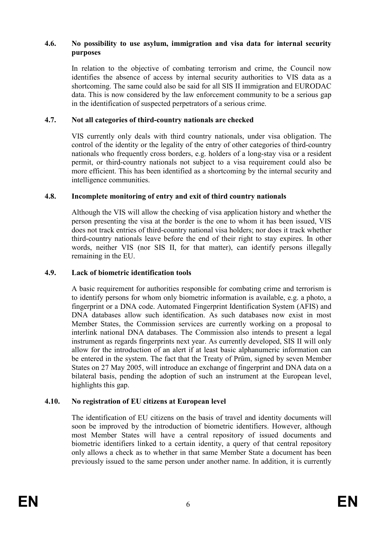### 4.6. No possibility to use asylum, immigration and visa data for internal security purposes

In relation to the objective of combating terrorism and crime, the Council now identifies the absence of access by internal security authorities to VIS data as a shortcoming. The same could also be said for all SIS II immigration and EURODAC data. This is now considered by the law enforcement community to be a serious gap in the identification of suspected perpetrators of a serious crime.

### 4.7. Not all categories of third-country nationals are checked

VIS currently only deals with third country nationals, under visa obligation. The control of the identity or the legality of the entry of other categories of third-country nationals who frequently cross borders, e.g. holders of a long-stay visa or a resident permit, or third-country nationals not subject to a visa requirement could also be more efficient. This has been identified as a shortcoming by the internal security and intelligence communities.

## 4.8. Incomplete monitoring of entry and exit of third country nationals

Although the VIS will allow the checking of visa application history and whether the person presenting the visa at the border is the one to whom it has been issued, VIS does not track entries of third-country national visa holders; nor does it track whether third-country nationals leave before the end of their right to stay expires. In other words, neither VIS (nor SIS II, for that matter), can identify persons illegally remaining in the EU.

### 4.9. Lack of biometric identification tools

A basic requirement for authorities responsible for combating crime and terrorism is to identify persons for whom only biometric information is available, e.g. a photo, a fingerprint or a DNA code. Automated Fingerprint Identification System (AFIS) and DNA databases allow such identification. As such databases now exist in most Member States, the Commission services are currently working on a proposal to interlink national DNA databases. The Commission also intends to present a legal instrument as regards fingerprints next year. As currently developed, SIS II will only allow for the introduction of an alert if at least basic alphanumeric information can be entered in the system. The fact that the Treaty of Prüm, signed by seven Member States on 27 May 2005, will introduce an exchange of fingerprint and DNA data on a bilateral basis, pending the adoption of such an instrument at the European level, highlights this gap.

# 4.10. No registration of EU citizens at European level

The identification of EU citizens on the basis of travel and identity documents will soon be improved by the introduction of biometric identifiers. However, although most Member States will have a central repository of issued documents and biometric identifiers linked to a certain identity, a query of that central repository only allows a check as to whether in that same Member State a document has been previously issued to the same person under another name. In addition, it is currently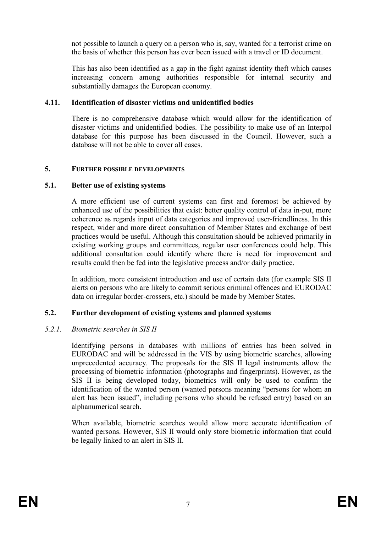not possible to launch a query on a person who is, say, wanted for a terrorist crime on the basis of whether this person has ever been issued with a travel or ID document.

This has also been identified as a gap in the fight against identity theft which causes increasing concern among authorities responsible for internal security and substantially damages the European economy.

## 4.11. Identification of disaster victims and unidentified bodies

There is no comprehensive database which would allow for the identification of disaster victims and unidentified bodies. The possibility to make use of an Interpol database for this purpose has been discussed in the Council. However, such a database will not be able to cover all cases.

## 5. FURTHER POSSIBLE DEVELOPMENTS

## 5.1. Better use of existing systems

A more efficient use of current systems can first and foremost be achieved by enhanced use of the possibilities that exist: better quality control of data in-put, more coherence as regards input of data categories and improved user-friendliness. In this respect, wider and more direct consultation of Member States and exchange of best practices would be useful. Although this consultation should be achieved primarily in existing working groups and committees, regular user conferences could help. This additional consultation could identify where there is need for improvement and results could then be fed into the legislative process and/or daily practice.

In addition, more consistent introduction and use of certain data (for example SIS II alerts on persons who are likely to commit serious criminal offences and EURODAC data on irregular border-crossers, etc.) should be made by Member States.

# 5.2. Further development of existing systems and planned systems

### 5.2.1. Biometric searches in SIS II

Identifying persons in databases with millions of entries has been solved in EURODAC and will be addressed in the VIS by using biometric searches, allowing unprecedented accuracy. The proposals for the SIS II legal instruments allow the processing of biometric information (photographs and fingerprints). However, as the SIS II is being developed today, biometrics will only be used to confirm the identification of the wanted person (wanted persons meaning "persons for whom an alert has been issued", including persons who should be refused entry) based on an alphanumerical search.

When available, biometric searches would allow more accurate identification of wanted persons. However, SIS II would only store biometric information that could be legally linked to an alert in SIS II.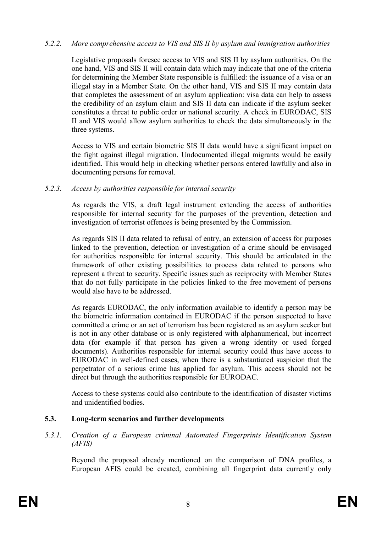### 5.2.2. More comprehensive access to VIS and SIS II by asylum and immigration authorities

Legislative proposals foresee access to VIS and SIS II by asylum authorities. On the one hand, VIS and SIS II will contain data which may indicate that one of the criteria for determining the Member State responsible is fulfilled: the issuance of a visa or an illegal stay in a Member State. On the other hand, VIS and SIS II may contain data that completes the assessment of an asylum application: visa data can help to assess the credibility of an asylum claim and SIS II data can indicate if the asylum seeker constitutes a threat to public order or national security. A check in EURODAC, SIS II and VIS would allow asylum authorities to check the data simultaneously in the three systems.

Access to VIS and certain biometric SIS II data would have a significant impact on the fight against illegal migration. Undocumented illegal migrants would be easily identified. This would help in checking whether persons entered lawfully and also in documenting persons for removal.

## 5.2.3. Access by authorities responsible for internal security

As regards the VIS, a draft legal instrument extending the access of authorities responsible for internal security for the purposes of the prevention, detection and investigation of terrorist offences is being presented by the Commission.

As regards SIS II data related to refusal of entry, an extension of access for purposes linked to the prevention, detection or investigation of a crime should be envisaged for authorities responsible for internal security. This should be articulated in the framework of other existing possibilities to process data related to persons who represent a threat to security. Specific issues such as reciprocity with Member States that do not fully participate in the policies linked to the free movement of persons would also have to be addressed.

As regards EURODAC, the only information available to identify a person may be the biometric information contained in EURODAC if the person suspected to have committed a crime or an act of terrorism has been registered as an asylum seeker but is not in any other database or is only registered with alphanumerical, but incorrect data (for example if that person has given a wrong identity or used forged documents). Authorities responsible for internal security could thus have access to EURODAC in well-defined cases, when there is a substantiated suspicion that the perpetrator of a serious crime has applied for asylum. This access should not be direct but through the authorities responsible for EURODAC.

Access to these systems could also contribute to the identification of disaster victims and unidentified bodies.

# 5.3. Long-term scenarios and further developments

5.3.1. Creation of a European criminal Automated Fingerprints Identification System (AFIS)

Beyond the proposal already mentioned on the comparison of DNA profiles, a European AFIS could be created, combining all fingerprint data currently only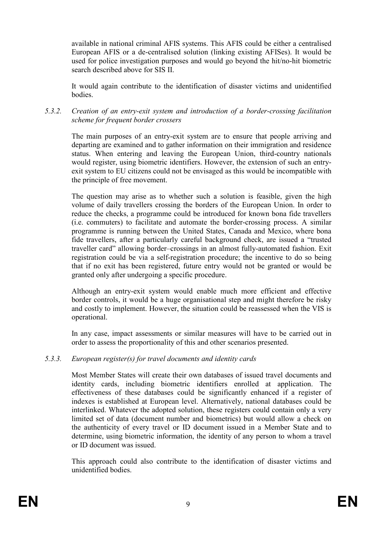available in national criminal AFIS systems. This AFIS could be either a centralised European AFIS or a de-centralised solution (linking existing AFISes). It would be used for police investigation purposes and would go beyond the hit/no-hit biometric search described above for SIS II.

It would again contribute to the identification of disaster victims and unidentified **bodies** 

## 5.3.2. Creation of an entry-exit system and introduction of a border-crossing facilitation scheme for frequent border crossers

The main purposes of an entry-exit system are to ensure that people arriving and departing are examined and to gather information on their immigration and residence status. When entering and leaving the European Union, third-country nationals would register, using biometric identifiers. However, the extension of such an entryexit system to EU citizens could not be envisaged as this would be incompatible with the principle of free movement.

The question may arise as to whether such a solution is feasible, given the high volume of daily travellers crossing the borders of the European Union. In order to reduce the checks, a programme could be introduced for known bona fide travellers (i.e. commuters) to facilitate and automate the border-crossing process. A similar programme is running between the United States, Canada and Mexico, where bona fide travellers, after a particularly careful background check, are issued a "trusted traveller card" allowing border–crossings in an almost fully-automated fashion. Exit registration could be via a self-registration procedure; the incentive to do so being that if no exit has been registered, future entry would not be granted or would be granted only after undergoing a specific procedure.

Although an entry-exit system would enable much more efficient and effective border controls, it would be a huge organisational step and might therefore be risky and costly to implement. However, the situation could be reassessed when the VIS is operational.

In any case, impact assessments or similar measures will have to be carried out in order to assess the proportionality of this and other scenarios presented.

### 5.3.3. European register(s) for travel documents and identity cards

Most Member States will create their own databases of issued travel documents and identity cards, including biometric identifiers enrolled at application. The effectiveness of these databases could be significantly enhanced if a register of indexes is established at European level. Alternatively, national databases could be interlinked. Whatever the adopted solution, these registers could contain only a very limited set of data (document number and biometrics) but would allow a check on the authenticity of every travel or ID document issued in a Member State and to determine, using biometric information, the identity of any person to whom a travel or ID document was issued.

This approach could also contribute to the identification of disaster victims and unidentified bodies.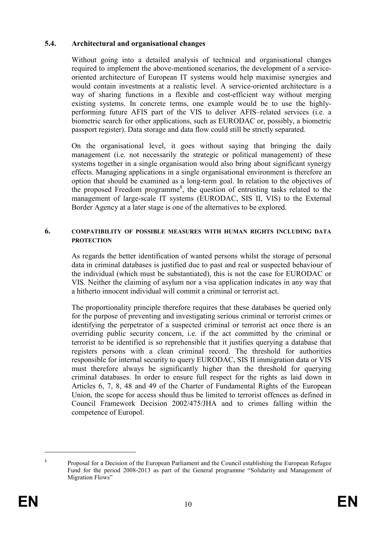## 5.4. Architectural and organisational changes

Without going into a detailed analysis of technical and organisational changes required to implement the above-mentioned scenarios, the development of a serviceoriented architecture of European IT systems would help maximise synergies and would contain investments at a realistic level. A service-oriented architecture is a way of sharing functions in a flexible and cost-efficient way without merging existing systems. In concrete terms, one example would be to use the highlyperforming future AFIS part of the VIS to deliver AFIS–related services (i.e. a biometric search for other applications, such as EURODAC or, possibly, a biometric passport register). Data storage and data flow could still be strictly separated.

On the organisational level, it goes without saying that bringing the daily management (i.e. not necessarily the strategic or political management) of these systems together in a single organisation would also bring about significant synergy effects. Managing applications in a single organisational environment is therefore an option that should be examined as a long-term goal. In relation to the objectives of the proposed Freedom programme<sup>8</sup>, the question of entrusting tasks related to the management of large-scale IT systems (EURODAC, SIS II, VIS) to the External Border Agency at a later stage is one of the alternatives to be explored.

### 6. COMPATIBILITY OF POSSIBLE MEASURES WITH HUMAN RIGHTS INCLUDING DATA **PROTECTION**

As regards the better identification of wanted persons whilst the storage of personal data in criminal databases is justified due to past and real or suspected behaviour of the individual (which must be substantiated), this is not the case for EURODAC or VIS. Neither the claiming of asylum nor a visa application indicates in any way that a hitherto innocent individual will commit a criminal or terrorist act.

The proportionality principle therefore requires that these databases be queried only for the purpose of preventing and investigating serious criminal or terrorist crimes or identifying the perpetrator of a suspected criminal or terrorist act once there is an overriding public security concern, i.e. if the act committed by the criminal or terrorist to be identified is so reprehensible that it justifies querying a database that registers persons with a clean criminal record. The threshold for authorities responsible for internal security to query EURODAC, SIS II immigration data or VIS must therefore always be significantly higher than the threshold for querying criminal databases. In order to ensure full respect for the rights as laid down in Articles 6, 7, 8, 48 and 49 of the Charter of Fundamental Rights of the European Union, the scope for access should thus be limited to terrorist offences as defined in Council Framework Decision 2002/475/JHA and to crimes falling within the competence of Europol.

<sup>8</sup> Proposal for a Decision of the European Parliament and the Council establishing the European Refugee Fund for the period 2008-2013 as part of the General programme "Solidarity and Management of Migration Flows"